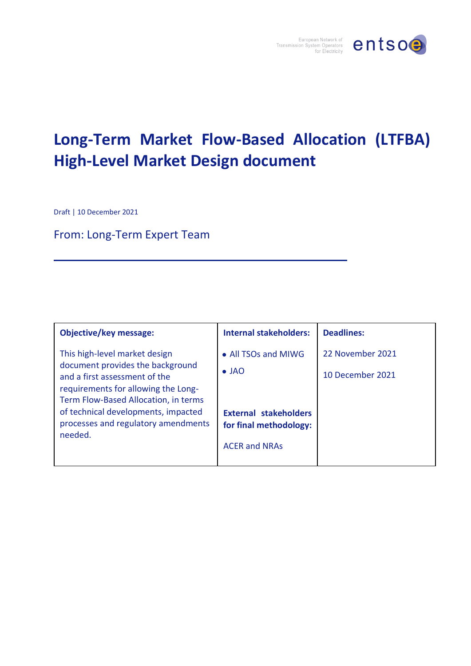

### **Long-Term Market Flow-Based Allocation (LTFBA) High-Level Market Design document**

Draft | 10 December 2021

### From: Long-Term Expert Team

| <b>Objective/key message:</b>                                                                                | <b>Internal stakeholders:</b>                          | <b>Deadlines:</b> |
|--------------------------------------------------------------------------------------------------------------|--------------------------------------------------------|-------------------|
| This high-level market design<br>document provides the background                                            | • All TSOs and MIWG<br>$\bullet$ JAO                   | 22 November 2021  |
| and a first assessment of the<br>requirements for allowing the Long-<br>Term Flow-Based Allocation, in terms |                                                        | 10 December 2021  |
| of technical developments, impacted<br>processes and regulatory amendments<br>needed.                        | <b>External stakeholders</b><br>for final methodology: |                   |
|                                                                                                              | <b>ACER and NRAs</b>                                   |                   |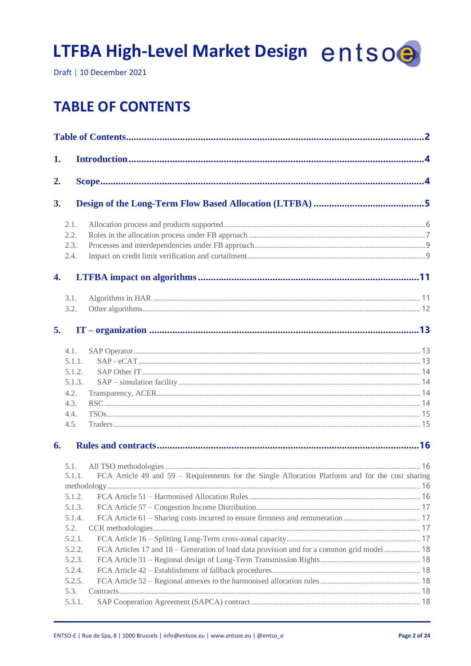# LTFBA High-Level Market Design entsoo

Draft | 10 December 2021

### <span id="page-1-0"></span>**TABLE OF CONTENTS**

| 1.<br>2.<br>3.<br>2.1.<br>2.2.<br>2.3.<br>2.4.<br>4.<br>3.1.<br>3.2.<br>5.<br>4.1.<br>5.1.1.<br>5.1.2.<br>5.1.3.<br>4.2.<br>4.3.<br>4.4.<br>4.5.<br>6.<br>5.1.<br>FCA Article 49 and 59 – Requirements for the Single Allocation Platform and for the cost sharing<br>5.1.1.<br>5.1.2.<br>5.1.3.<br>5.1.4.<br>5.2.<br>5.2.1.<br>FCA Articles 17 and 18 – Generation of load data provision and for a common grid model  18<br>5.2.2.<br>5.2.3.<br>5.2.4.<br>5.2.5.<br>5.3.<br>5.3.1. |  |  |  |  |
|--------------------------------------------------------------------------------------------------------------------------------------------------------------------------------------------------------------------------------------------------------------------------------------------------------------------------------------------------------------------------------------------------------------------------------------------------------------------------------------|--|--|--|--|
|                                                                                                                                                                                                                                                                                                                                                                                                                                                                                      |  |  |  |  |
|                                                                                                                                                                                                                                                                                                                                                                                                                                                                                      |  |  |  |  |
|                                                                                                                                                                                                                                                                                                                                                                                                                                                                                      |  |  |  |  |
|                                                                                                                                                                                                                                                                                                                                                                                                                                                                                      |  |  |  |  |
|                                                                                                                                                                                                                                                                                                                                                                                                                                                                                      |  |  |  |  |
|                                                                                                                                                                                                                                                                                                                                                                                                                                                                                      |  |  |  |  |
|                                                                                                                                                                                                                                                                                                                                                                                                                                                                                      |  |  |  |  |
|                                                                                                                                                                                                                                                                                                                                                                                                                                                                                      |  |  |  |  |
|                                                                                                                                                                                                                                                                                                                                                                                                                                                                                      |  |  |  |  |
|                                                                                                                                                                                                                                                                                                                                                                                                                                                                                      |  |  |  |  |
|                                                                                                                                                                                                                                                                                                                                                                                                                                                                                      |  |  |  |  |
|                                                                                                                                                                                                                                                                                                                                                                                                                                                                                      |  |  |  |  |
|                                                                                                                                                                                                                                                                                                                                                                                                                                                                                      |  |  |  |  |
|                                                                                                                                                                                                                                                                                                                                                                                                                                                                                      |  |  |  |  |
|                                                                                                                                                                                                                                                                                                                                                                                                                                                                                      |  |  |  |  |
|                                                                                                                                                                                                                                                                                                                                                                                                                                                                                      |  |  |  |  |
|                                                                                                                                                                                                                                                                                                                                                                                                                                                                                      |  |  |  |  |
|                                                                                                                                                                                                                                                                                                                                                                                                                                                                                      |  |  |  |  |
|                                                                                                                                                                                                                                                                                                                                                                                                                                                                                      |  |  |  |  |
|                                                                                                                                                                                                                                                                                                                                                                                                                                                                                      |  |  |  |  |
|                                                                                                                                                                                                                                                                                                                                                                                                                                                                                      |  |  |  |  |
|                                                                                                                                                                                                                                                                                                                                                                                                                                                                                      |  |  |  |  |
|                                                                                                                                                                                                                                                                                                                                                                                                                                                                                      |  |  |  |  |
|                                                                                                                                                                                                                                                                                                                                                                                                                                                                                      |  |  |  |  |
|                                                                                                                                                                                                                                                                                                                                                                                                                                                                                      |  |  |  |  |
|                                                                                                                                                                                                                                                                                                                                                                                                                                                                                      |  |  |  |  |
|                                                                                                                                                                                                                                                                                                                                                                                                                                                                                      |  |  |  |  |
|                                                                                                                                                                                                                                                                                                                                                                                                                                                                                      |  |  |  |  |
|                                                                                                                                                                                                                                                                                                                                                                                                                                                                                      |  |  |  |  |
|                                                                                                                                                                                                                                                                                                                                                                                                                                                                                      |  |  |  |  |
|                                                                                                                                                                                                                                                                                                                                                                                                                                                                                      |  |  |  |  |
|                                                                                                                                                                                                                                                                                                                                                                                                                                                                                      |  |  |  |  |
|                                                                                                                                                                                                                                                                                                                                                                                                                                                                                      |  |  |  |  |
|                                                                                                                                                                                                                                                                                                                                                                                                                                                                                      |  |  |  |  |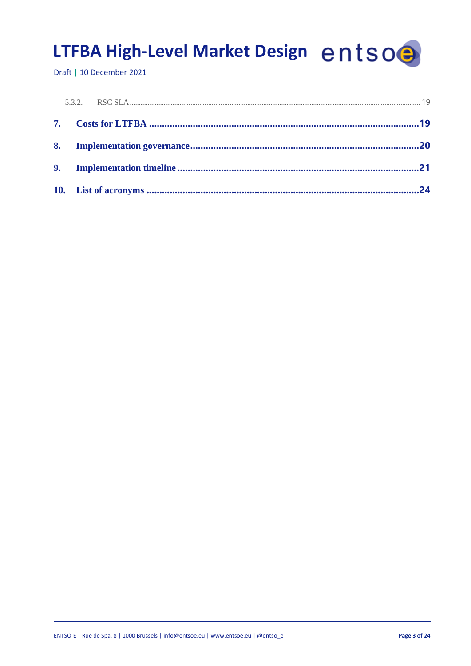# LTFBA High-Level Market Design entsoe

Draft | 10 December 2021

| 7. |  |    |
|----|--|----|
| 8. |  |    |
|    |  |    |
|    |  | 24 |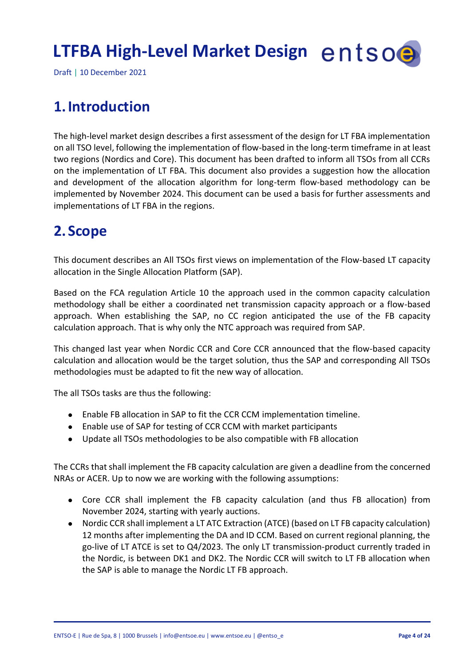Draft | 10 December 2021

### <span id="page-3-0"></span>**1.Introduction**

The high-level market design describes a first assessment of the design for LT FBA implementation on all TSO level, following the implementation of flow-based in the long-term timeframe in at least two regions (Nordics and Core). This document has been drafted to inform all TSOs from all CCRs on the implementation of LT FBA. This document also provides a suggestion how the allocation and development of the allocation algorithm for long-term flow-based methodology can be implemented by November 2024. This document can be used a basis for further assessments and implementations of LT FBA in the regions.

### <span id="page-3-1"></span>**2. Scope**

This document describes an All TSOs first views on implementation of the Flow-based LT capacity allocation in the Single Allocation Platform (SAP).

Based on the FCA regulation Article 10 the approach used in the common capacity calculation methodology shall be either a coordinated net transmission capacity approach or a flow-based approach. When establishing the SAP, no CC region anticipated the use of the FB capacity calculation approach. That is why only the NTC approach was required from SAP.

This changed last year when Nordic CCR and Core CCR announced that the flow-based capacity calculation and allocation would be the target solution, thus the SAP and corresponding All TSOs methodologies must be adapted to fit the new way of allocation.

The all TSOs tasks are thus the following:

- Enable FB allocation in SAP to fit the CCR CCM implementation timeline.
- Enable use of SAP for testing of CCR CCM with market participants
- Update all TSOs methodologies to be also compatible with FB allocation

The CCRs that shall implement the FB capacity calculation are given a deadline from the concerned NRAs or ACER. Up to now we are working with the following assumptions:

- Core CCR shall implement the FB capacity calculation (and thus FB allocation) from November 2024, starting with yearly auctions.
- Nordic CCR shall implement a LT ATC Extraction (ATCE) (based on LT FB capacity calculation) 12 months after implementing the DA and ID CCM. Based on current regional planning, the go-live of LT ATCE is set to Q4/2023. The only LT transmission-product currently traded in the Nordic, is between DK1 and DK2. The Nordic CCR will switch to LT FB allocation when the SAP is able to manage the Nordic LT FB approach.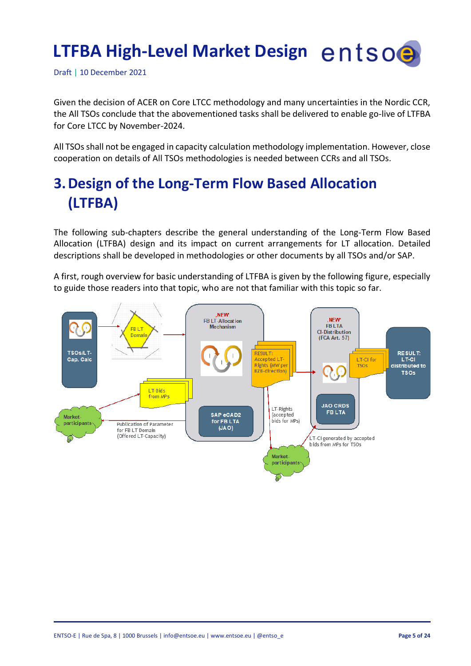Draft | 10 December 2021

Given the decision of ACER on Core LTCC methodology and many uncertainties in the Nordic CCR, the All TSOs conclude that the abovementioned tasks shall be delivered to enable go-live of LTFBA for Core LTCC by November-2024.

All TSOs shall not be engaged in capacity calculation methodology implementation. However, close cooperation on details of All TSOs methodologies is needed between CCRs and all TSOs.

### <span id="page-4-0"></span>**3.Design of the Long-Term Flow Based Allocation (LTFBA)**

The following sub-chapters describe the general understanding of the Long-Term Flow Based Allocation (LTFBA) design and its impact on current arrangements for LT allocation. Detailed descriptions shall be developed in methodologies or other documents by all TSOs and/or SAP.

A first, rough overview for basic understanding of LTFBA is given by the following figure, especially to guide those readers into that topic, who are not that familiar with this topic so far.

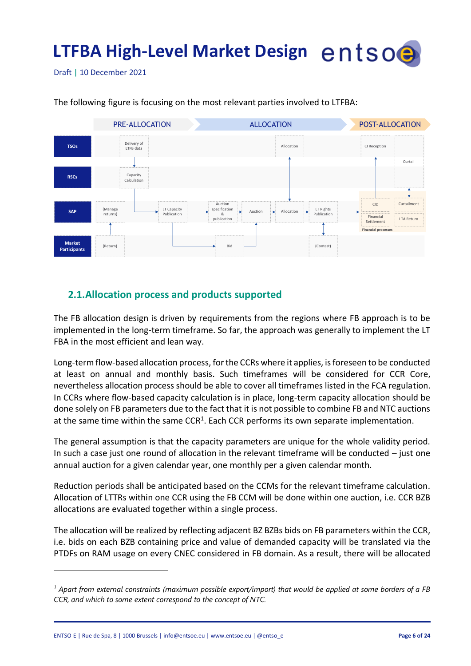Draft | 10 December 2021



The following figure is focusing on the most relevant parties involved to LTFBA:

#### <span id="page-5-0"></span>**2.1.Allocation process and products supported**

The FB allocation design is driven by requirements from the regions where FB approach is to be implemented in the long-term timeframe. So far, the approach was generally to implement the LT FBA in the most efficient and lean way.

Long-term flow-based allocation process, for the CCRs where it applies, is foreseen to be conducted at least on annual and monthly basis. Such timeframes will be considered for CCR Core, nevertheless allocation process should be able to cover all timeframes listed in the FCA regulation. In CCRs where flow-based capacity calculation is in place, long-term capacity allocation should be done solely on FB parameters due to the fact that it is not possible to combine FB and NTC auctions at the same time within the same CCR<sup>1</sup>. Each CCR performs its own separate implementation.

The general assumption is that the capacity parameters are unique for the whole validity period. In such a case just one round of allocation in the relevant timeframe will be conducted  $-$  just one annual auction for a given calendar year, one monthly per a given calendar month.

Reduction periods shall be anticipated based on the CCMs for the relevant timeframe calculation. Allocation of LTTRs within one CCR using the FB CCM will be done within one auction, i.e. CCR BZB allocations are evaluated together within a single process.

The allocation will be realized by reflecting adjacent BZ BZBs bids on FB parameters within the CCR, i.e. bids on each BZB containing price and value of demanded capacity will be translated via the PTDFs on RAM usage on every CNEC considered in FB domain. As a result, there will be allocated

l

*<sup>1</sup> Apart from external constraints (maximum possible export/import) that would be applied at some borders of a FB CCR, and which to some extent correspond to the concept of NTC.*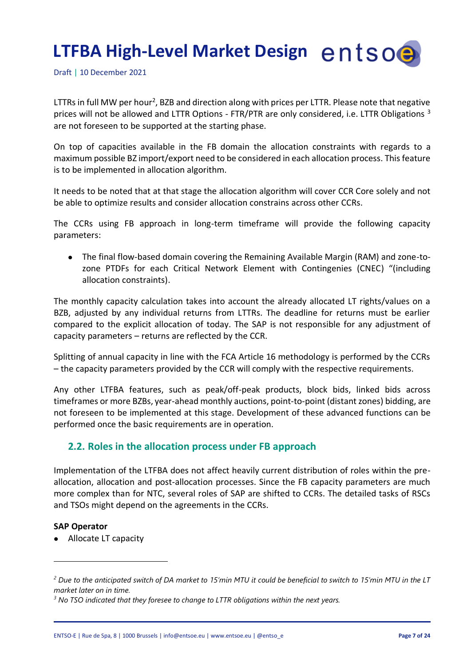Draft | 10 December 2021

LTTRs in full MW per hour<sup>2</sup>, BZB and direction along with prices per LTTR. Please note that negative prices will not be allowed and LTTR Options - FTR/PTR are only considered, i.e. LTTR Obligations <sup>3</sup> are not foreseen to be supported at the starting phase.

On top of capacities available in the FB domain the allocation constraints with regards to a maximum possible BZ import/export need to be considered in each allocation process. This feature is to be implemented in allocation algorithm.

It needs to be noted that at that stage the allocation algorithm will cover CCR Core solely and not be able to optimize results and consider allocation constrains across other CCRs.

The CCRs using FB approach in long-term timeframe will provide the following capacity parameters:

The final flow-based domain covering the Remaining Available Margin (RAM) and zone-tozone PTDFs for each Critical Network Element with Contingenies (CNEC) "(including allocation constraints).

The monthly capacity calculation takes into account the already allocated LT rights/values on a BZB, adjusted by any individual returns from LTTRs. The deadline for returns must be earlier compared to the explicit allocation of today. The SAP is not responsible for any adjustment of capacity parameters – returns are reflected by the CCR.

Splitting of annual capacity in line with the FCA Article 16 methodology is performed by the CCRs – the capacity parameters provided by the CCR will comply with the respective requirements.

Any other LTFBA features, such as peak/off-peak products, block bids, linked bids across timeframes or more BZBs, year-ahead monthly auctions, point-to-point (distant zones) bidding, are not foreseen to be implemented at this stage. Development of these advanced functions can be performed once the basic requirements are in operation.

#### <span id="page-6-0"></span>**2.2. Roles in the allocation process under FB approach**

Implementation of the LTFBA does not affect heavily current distribution of roles within the preallocation, allocation and post-allocation processes. Since the FB capacity parameters are much more complex than for NTC, several roles of SAP are shifted to CCRs. The detailed tasks of RSCs and TSOs might depend on the agreements in the CCRs.

#### **SAP Operator**

l

Allocate LT capacity

*<sup>2</sup> Due to the anticipated switch of DA market to 15'min MTU it could be beneficial to switch to 15'min MTU in the LT market later on in time.*

*<sup>3</sup> No TSO indicated that they foresee to change to LTTR obligations within the next years.*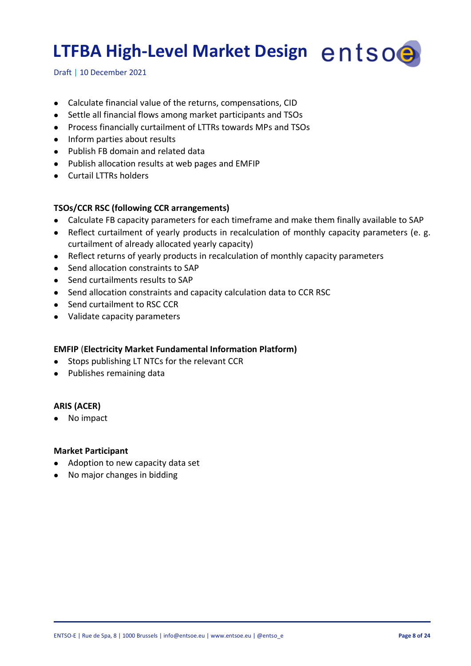Draft | 10 December 2021

- Calculate financial value of the returns, compensations, CID
- Settle all financial flows among market participants and TSOs
- Process financially curtailment of LTTRs towards MPs and TSOs
- Inform parties about results
- Publish FB domain and related data
- Publish allocation results at web pages and EMFIP
- Curtail LTTRs holders

#### **TSOs/CCR RSC (following CCR arrangements)**

- Calculate FB capacity parameters for each timeframe and make them finally available to SAP
- Reflect curtailment of yearly products in recalculation of monthly capacity parameters (e. g. curtailment of already allocated yearly capacity)
- Reflect returns of yearly products in recalculation of monthly capacity parameters
- Send allocation constraints to SAP
- Send curtailments results to SAP
- Send allocation constraints and capacity calculation data to CCR RSC
- Send curtailment to RSC CCR
- Validate capacity parameters

#### **EMFIP** (**Electricity Market Fundamental Information Platform)**

- Stops publishing LT NTCs for the relevant CCR
- Publishes remaining data

#### **ARIS (ACER)**

No impact

#### **Market Participant**

- Adoption to new capacity data set
- No major changes in bidding  $\bullet$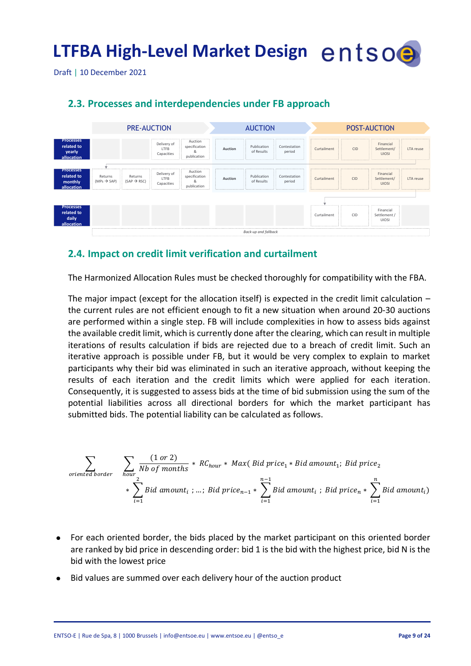Draft | 10 December 2021

#### <span id="page-8-0"></span>**2.3. Processes and interdependencies under FB approach**



#### <span id="page-8-1"></span>**2.4. Impact on credit limit verification and curtailment**

The Harmonized Allocation Rules must be checked thoroughly for compatibility with the FBA.

The major impact (except for the allocation itself) is expected in the credit limit calculation  $$ the current rules are not efficient enough to fit a new situation when around 20-30 auctions are performed within a single step. FB will include complexities in how to assess bids against the available credit limit, which is currently done after the clearing, which can result in multiple iterations of results calculation if bids are rejected due to a breach of credit limit. Such an iterative approach is possible under FB, but it would be very complex to explain to market participants why their bid was eliminated in such an iterative approach, without keeping the results of each iteration and the credit limits which were applied for each iteration. Consequently, it is suggested to assess bids at the time of bid submission using the sum of the potential liabilities across all directional borders for which the market participant has submitted bids. The potential liability can be calculated as follows.

$$
\sum_{\text{oriented border}} \sum_{\text{hour}} \frac{(1 \text{ or } 2)}{Nb \text{ of months}} * RC_{\text{hour}} * Max(Bid \text{ price}_1 * Bid \text{ amount}_1; Bid \text{ price}_2
$$
\n
$$
* \sum_{i=1}^{2} Bid \text{ amount}_i ; ...; Bid \text{ price}_{n-1} * \sum_{i=1}^{n-1} Bid \text{ amount}_i; Bid \text{ price}_n * \sum_{i=1}^{n} Bid \text{ amount}_i)
$$

- For each oriented border, the bids placed by the market participant on this oriented border are ranked by bid price in descending order: bid 1 is the bid with the highest price, bid N is the bid with the lowest price
- Bid values are summed over each delivery hour of the auction product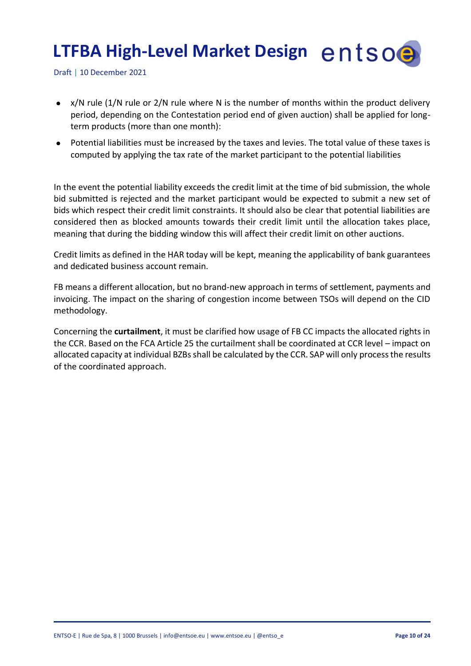Draft | 10 December 2021

- x/N rule (1/N rule or 2/N rule where N is the number of months within the product delivery period, depending on the Contestation period end of given auction) shall be applied for longterm products (more than one month):
- Potential liabilities must be increased by the taxes and levies. The total value of these taxes is computed by applying the tax rate of the market participant to the potential liabilities

In the event the potential liability exceeds the credit limit at the time of bid submission, the whole bid submitted is rejected and the market participant would be expected to submit a new set of bids which respect their credit limit constraints. It should also be clear that potential liabilities are considered then as blocked amounts towards their credit limit until the allocation takes place, meaning that during the bidding window this will affect their credit limit on other auctions.

Credit limits as defined in the HAR today will be kept, meaning the applicability of bank guarantees and dedicated business account remain.

FB means a different allocation, but no brand-new approach in terms of settlement, payments and invoicing. The impact on the sharing of congestion income between TSOs will depend on the CID methodology.

Concerning the **curtailment**, it must be clarified how usage of FB CC impacts the allocated rights in the CCR. Based on the FCA Article 25 the curtailment shall be coordinated at CCR level – impact on allocated capacity at individual BZBs shall be calculated by the CCR. SAP will only process the results of the coordinated approach.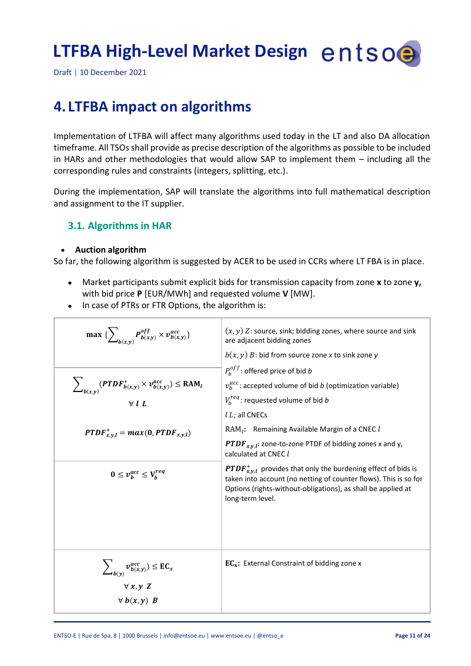Draft | 10 December 2021

### <span id="page-10-0"></span>**4. LTFBA impact on algorithms**

Implementation of LTFBA will affect many algorithms used today in the LT and also DA allocation timeframe. All TSOs shall provide as precise description of the algorithms as possible to be included in HARs and other methodologies that would allow SAP to implement them – including all the corresponding rules and constraints (integers, splitting, etc.).

During the implementation, SAP will translate the algorithms into full mathematical description and assignment to the IT supplier.

#### <span id="page-10-1"></span>**3.1. Algorithms in HAR**

#### **Auction algorithm**

So far, the following algorithm is suggested by ACER to be used in CCRs where LT FBA is in place.

- Market participants submit explicit bids for transmission capacity from zone **x** to zone **y,**  $\bullet$ with bid price **P** [EUR/MWh] and requested volume **V** [MW].
- In case of PTRs or FTR Options, the algorithm is:

| max $\{\sum_{b(x,y)} P_{b(x,y)}^{off} \times v_{b(x,y)}^{acc}\}$                      | $(x, y)$ Z: source, sink; bidding zones, where source and sink<br>are adjacent bidding zones                                                                                                                                                         |
|---------------------------------------------------------------------------------------|------------------------------------------------------------------------------------------------------------------------------------------------------------------------------------------------------------------------------------------------------|
|                                                                                       | $b(x, y)$ B: bid from source zone x to sink zone y                                                                                                                                                                                                   |
|                                                                                       | $P_h^{off}$ : offered price of bid b                                                                                                                                                                                                                 |
| $\sum_{b(x,y)} (PTDF^+_{b(x,y)} \times v^{acc}_{b(x,y)}) \leq \text{RAM}_l$           | $v_b^{acc}$ : accepted volume of bid b (optimization variable)                                                                                                                                                                                       |
| $\forall$ <i>l L</i>                                                                  | $V_h^{req}$ : requested volume of bid b                                                                                                                                                                                                              |
|                                                                                       | $l L$ ; all CNECs                                                                                                                                                                                                                                    |
| $PTDF_{x,y,l}^{+} = max(0, PTDF_{x,y,l})$                                             | $RAMl$ : Remaining Available Margin of a CNEC $l$                                                                                                                                                                                                    |
|                                                                                       | <b>PTDF</b> <sub>x,y,l</sub> : zone-to-zone PTDF of bidding zones x and y,<br>calculated at CNEC l                                                                                                                                                   |
| $0 \le v_h^{acc} \le V_h^{req}$                                                       | <b>PTDF</b> <sub><math>x,y,l</math></sub> provides that only the burdening effect of bids is<br>taken into account (no netting of counter flows). This is so for<br>Options (rights-without-obligations), as shall be applied at<br>long-term level. |
| $\sum_{h(v)} v_{b(x,y)}^{acc} \leq EC_x$<br>$\forall x, y \ Z$<br>$\forall b(x, y)$ B | $EC_x$ : External Constraint of bidding zone x                                                                                                                                                                                                       |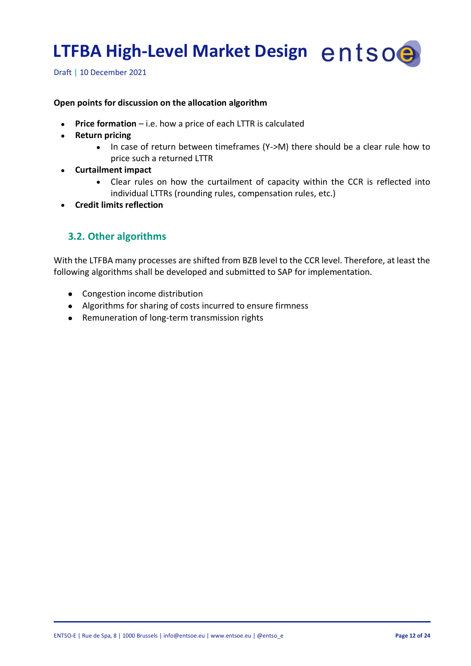Draft | 10 December 2021

#### **Open points for discussion on the allocation algorithm**

- **Price formation**  i.e. how a price of each LTTR is calculated
- **Return pricing**  $\bullet$ 
	- In case of return between timeframes (Y->M) there should be a clear rule how to price such a returned LTTR
- **Curtailment impact**
	- Clear rules on how the curtailment of capacity within the CCR is reflected into individual LTTRs (rounding rules, compensation rules, etc.)
- **Credit limits reflection**

#### <span id="page-11-0"></span>**3.2. Other algorithms**

With the LTFBA many processes are shifted from BZB level to the CCR level. Therefore, at least the following algorithms shall be developed and submitted to SAP for implementation.

- Congestion income distribution
- Algorithms for sharing of costs incurred to ensure firmness
- Remuneration of long-term transmission rights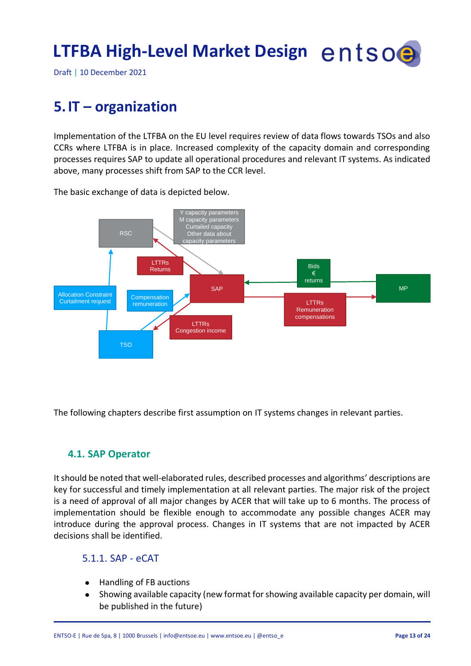Draft | 10 December 2021

### <span id="page-12-0"></span>**5.IT – organization**

Implementation of the LTFBA on the EU level requires review of data flows towards TSOs and also CCRs where LTFBA is in place. Increased complexity of the capacity domain and corresponding processes requires SAP to update all operational procedures and relevant IT systems. As indicated above, many processes shift from SAP to the CCR level.



The basic exchange of data is depicted below.

The following chapters describe first assumption on IT systems changes in relevant parties.

#### <span id="page-12-1"></span>**4.1. SAP Operator**

It should be noted that well-elaborated rules, described processes and algorithms' descriptions are key for successful and timely implementation at all relevant parties. The major risk of the project is a need of approval of all major changes by ACER that will take up to 6 months. The process of implementation should be flexible enough to accommodate any possible changes ACER may introduce during the approval process. Changes in IT systems that are not impacted by ACER decisions shall be identified.

#### <span id="page-12-2"></span>5.1.1. SAP - eCAT

- Handling of FB auctions  $\bullet$
- Showing available capacity (new format for showing available capacity per domain, will be published in the future)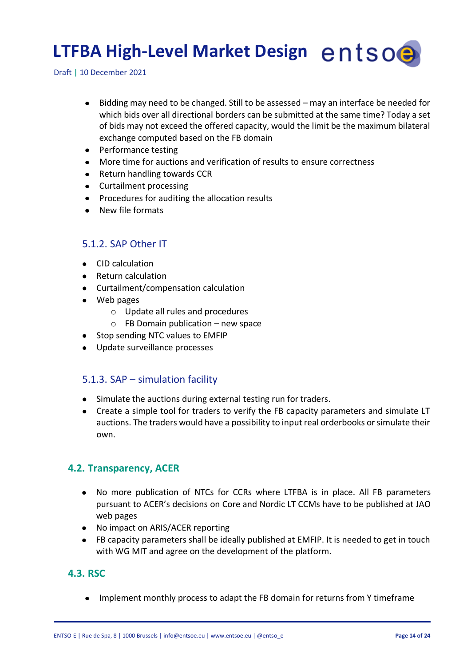Draft | 10 December 2021

- Bidding may need to be changed. Still to be assessed may an interface be needed for  $\bullet$ which bids over all directional borders can be submitted at the same time? Today a set of bids may not exceed the offered capacity, would the limit be the maximum bilateral exchange computed based on the FB domain
- Performance testing
- More time for auctions and verification of results to ensure correctness
- Return handling towards CCR
- Curtailment processing
- Procedures for auditing the allocation results
- New file formats

#### <span id="page-13-0"></span>5.1.2. SAP Other IT

- CID calculation
- Return calculation
- Curtailment/compensation calculation
- Web pages
	- o Update all rules and procedures
	- $\circ$  FB Domain publication new space
- Stop sending NTC values to EMFIP
- Update surveillance processes

#### <span id="page-13-1"></span>5.1.3. SAP – simulation facility

- Simulate the auctions during external testing run for traders.
- Create a simple tool for traders to verify the FB capacity parameters and simulate LT auctions. The traders would have a possibility to input real orderbooks or simulate their own.

#### <span id="page-13-2"></span>**4.2. Transparency, ACER**

- No more publication of NTCs for CCRs where LTFBA is in place. All FB parameters pursuant to ACER's decisions on Core and Nordic LT CCMs have to be published at JAO web pages
- No impact on ARIS/ACER reporting
- FB capacity parameters shall be ideally published at EMFIP. It is needed to get in touch with WG MIT and agree on the development of the platform.

#### <span id="page-13-3"></span>**4.3. RSC**

• Implement monthly process to adapt the FB domain for returns from Y timeframe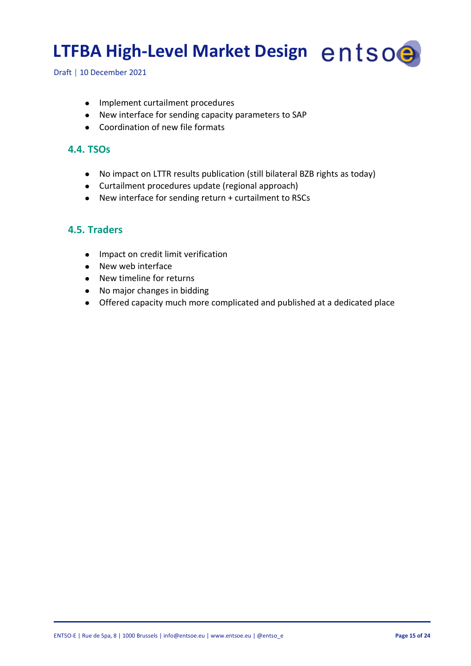Draft | 10 December 2021

- Implement curtailment procedures
- New interface for sending capacity parameters to SAP
- <span id="page-14-0"></span>Coordination of new file formats

#### **4.4. TSOs**

- No impact on LTTR results publication (still bilateral BZB rights as today)
- Curtailment procedures update (regional approach)
- New interface for sending return + curtailment to RSCs

#### <span id="page-14-1"></span>**4.5. Traders**

- Impact on credit limit verification
- New web interface
- New timeline for returns
- No major changes in bidding
- Offered capacity much more complicated and published at a dedicated place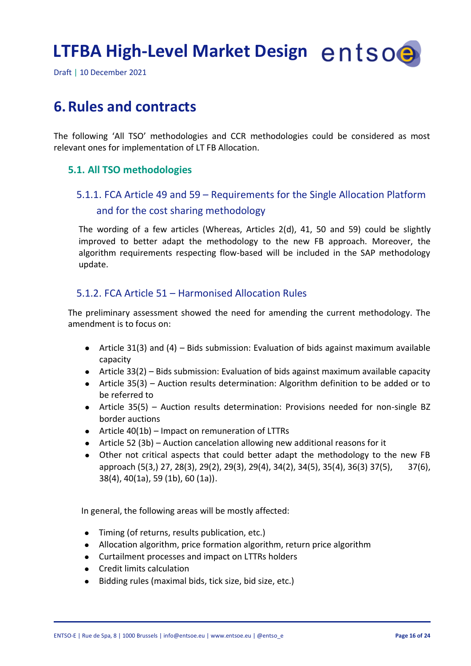Draft | 10 December 2021

### <span id="page-15-0"></span>**6.Rules and contracts**

The following 'All TSO' methodologies and CCR methodologies could be considered as most relevant ones for implementation of LT FB Allocation.

#### <span id="page-15-1"></span>**5.1. All TSO methodologies**

#### <span id="page-15-2"></span>5.1.1. FCA Article 49 and 59 – Requirements for the Single Allocation Platform and for the cost sharing methodology

The wording of a few articles (Whereas, Articles 2(d), 41, 50 and 59) could be slightly improved to better adapt the methodology to the new FB approach. Moreover, the algorithm requirements respecting flow-based will be included in the SAP methodology update.

#### <span id="page-15-3"></span>5.1.2. FCA Article 51 – Harmonised Allocation Rules

The preliminary assessment showed the need for amending the current methodology. The amendment is to focus on:

- Article 31(3) and (4) Bids submission: Evaluation of bids against maximum available capacity
- Article 33(2) Bids submission: Evaluation of bids against maximum available capacity
- Article 35(3) Auction results determination: Algorithm definition to be added or to be referred to
- Article 35(5) Auction results determination: Provisions needed for non-single BZ border auctions
- Article 40(1b) Impact on remuneration of LTTRs
- Article 52 (3b) Auction cancelation allowing new additional reasons for it
- $\bullet$ Other not critical aspects that could better adapt the methodology to the new FB approach (5(3,) 27, 28(3), 29(2), 29(3), 29(4), 34(2), 34(5), 35(4), 36(3) 37(5), 37(6), 38(4), 40(1a), 59 (1b), 60 (1a)).

In general, the following areas will be mostly affected:

- Timing (of returns, results publication, etc.)
- Allocation algorithm, price formation algorithm, return price algorithm
- Curtailment processes and impact on LTTRs holders
- Credit limits calculation
- $\bullet$ Bidding rules (maximal bids, tick size, bid size, etc.)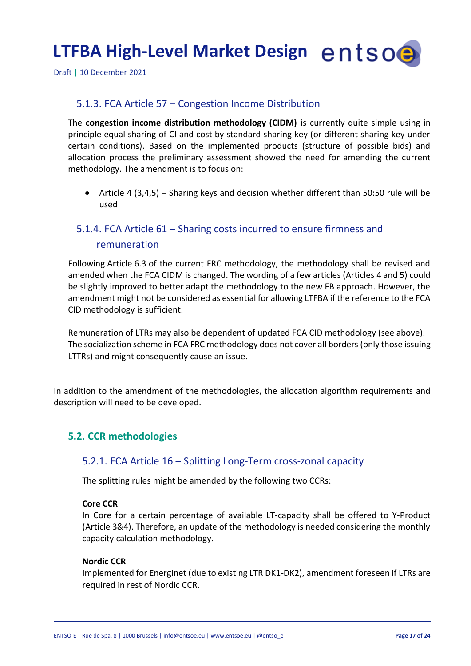Draft | 10 December 2021

#### <span id="page-16-0"></span>5.1.3. FCA Article 57 – Congestion Income Distribution

The **congestion income distribution methodology (CIDM)** is currently quite simple using in principle equal sharing of CI and cost by standard sharing key (or different sharing key under certain conditions). Based on the implemented products (structure of possible bids) and allocation process the preliminary assessment showed the need for amending the current methodology. The amendment is to focus on:

Article 4 (3,4,5) – Sharing keys and decision whether different than 50:50 rule will be used

#### <span id="page-16-1"></span>5.1.4. FCA Article 61 – Sharing costs incurred to ensure firmness and remuneration

Following Article 6.3 of the current FRC methodology, the methodology shall be revised and amended when the FCA CIDM is changed. The wording of a few articles (Articles 4 and 5) could be slightly improved to better adapt the methodology to the new FB approach. However, the amendment might not be considered as essential for allowing LTFBA if the reference to the FCA CID methodology is sufficient.

Remuneration of LTRs may also be dependent of updated FCA CID methodology (see above). The socialization scheme in FCA FRC methodology does not cover all borders (only those issuing LTTRs) and might consequently cause an issue.

In addition to the amendment of the methodologies, the allocation algorithm requirements and description will need to be developed.

#### <span id="page-16-2"></span>**5.2. CCR methodologies**

#### <span id="page-16-3"></span>5.2.1. FCA Article 16 – Splitting Long-Term cross-zonal capacity

The splitting rules might be amended by the following two CCRs:

#### **Core CCR**

In Core for a certain percentage of available LT-capacity shall be offered to Y-Product (Article 3&4). Therefore, an update of the methodology is needed considering the monthly capacity calculation methodology.

#### **Nordic CCR**

Implemented for Energinet (due to existing LTR DK1-DK2), amendment foreseen if LTRs are required in rest of Nordic CCR.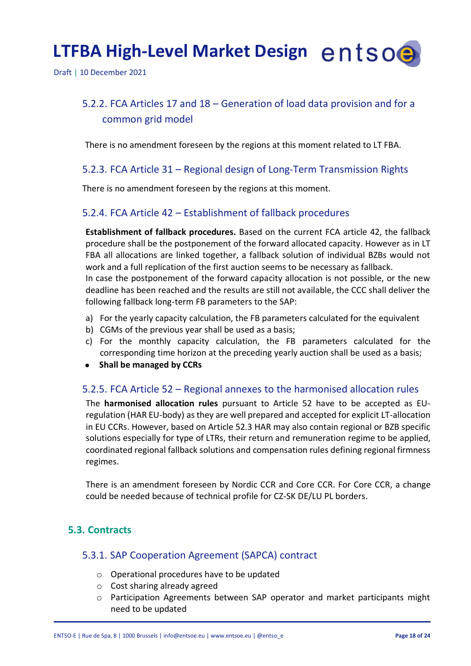Draft | 10 December 2021

#### <span id="page-17-0"></span>5.2.2. FCA Articles 17 and 18 – Generation of load data provision and for a common grid model

There is no amendment foreseen by the regions at this moment related to LT FBA.

#### <span id="page-17-1"></span>5.2.3. FCA Article 31 – Regional design of Long-Term Transmission Rights

There is no amendment foreseen by the regions at this moment.

#### <span id="page-17-2"></span>5.2.4. FCA Article 42 – Establishment of fallback procedures

**Establishment of fallback procedures.** Based on the current FCA article 42, the fallback procedure shall be the postponement of the forward allocated capacity. However as in LT FBA all allocations are linked together, a fallback solution of individual BZBs would not work and a full replication of the first auction seems to be necessary as fallback.

In case the postponement of the forward capacity allocation is not possible, or the new deadline has been reached and the results are still not available, the CCC shall deliver the following fallback long-term FB parameters to the SAP:

- a) For the yearly capacity calculation, the FB parameters calculated for the equivalent
- b) CGMs of the previous year shall be used as a basis;
- c) For the monthly capacity calculation, the FB parameters calculated for the corresponding time horizon at the preceding yearly auction shall be used as a basis;
- **Shall be managed by CCRs**

#### <span id="page-17-3"></span>5.2.5. FCA Article 52 – Regional annexes to the harmonised allocation rules

The **harmonised allocation rules** pursuant to Article 52 have to be accepted as EUregulation (HAR EU-body) as they are well prepared and accepted for explicit LT-allocation in EU CCRs. However, based on Article 52.3 HAR may also contain regional or BZB specific solutions especially for type of LTRs, their return and remuneration regime to be applied, coordinated regional fallback solutions and compensation rules defining regional firmness regimes.

There is an amendment foreseen by Nordic CCR and Core CCR. For Core CCR, a change could be needed because of technical profile for CZ-SK DE/LU PL borders.

#### <span id="page-17-4"></span>**5.3. Contracts**

#### 5.3.1. SAP Cooperation Agreement (SAPCA) contract

- <span id="page-17-5"></span>o Operational procedures have to be updated
- o Cost sharing already agreed
- o Participation Agreements between SAP operator and market participants might need to be updated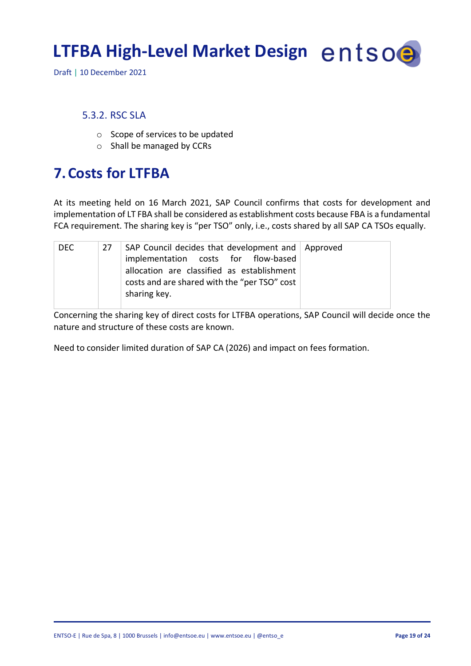Draft | 10 December 2021

#### 5.3.2. RSC SLA

- <span id="page-18-0"></span>o Scope of services to be updated
- o Shall be managed by CCRs

### <span id="page-18-1"></span>**7.Costs for LTFBA**

At its meeting held on 16 March 2021, SAP Council confirms that costs for development and implementation of LT FBA shall be considered as establishment costs because FBA is a fundamental FCA requirement. The sharing key is "per TSO" only, i.e., costs shared by all SAP CA TSOs equally.

| SAP Council decides that development and Approved<br>DEC.<br>27 · |
|-------------------------------------------------------------------|
|-------------------------------------------------------------------|

Concerning the sharing key of direct costs for LTFBA operations, SAP Council will decide once the nature and structure of these costs are known.

Need to consider limited duration of SAP CA (2026) and impact on fees formation.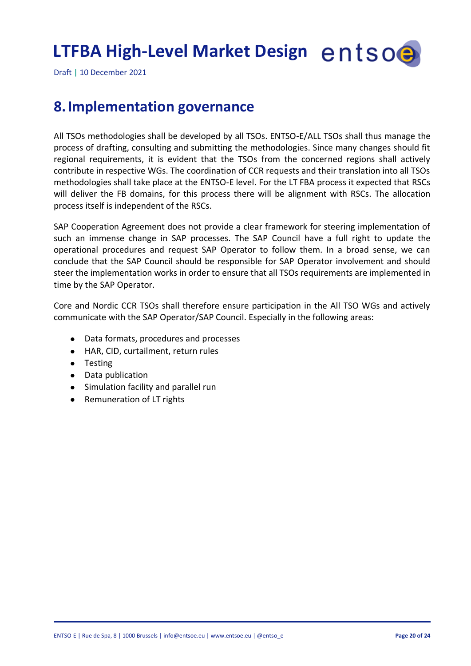Draft | 10 December 2021

### <span id="page-19-0"></span>**8.Implementation governance**

All TSOs methodologies shall be developed by all TSOs. ENTSO-E/ALL TSOs shall thus manage the process of drafting, consulting and submitting the methodologies. Since many changes should fit regional requirements, it is evident that the TSOs from the concerned regions shall actively contribute in respective WGs. The coordination of CCR requests and their translation into all TSOs methodologies shall take place at the ENTSO-E level. For the LT FBA process it expected that RSCs will deliver the FB domains, for this process there will be alignment with RSCs. The allocation process itself is independent of the RSCs.

SAP Cooperation Agreement does not provide a clear framework for steering implementation of such an immense change in SAP processes. The SAP Council have a full right to update the operational procedures and request SAP Operator to follow them. In a broad sense, we can conclude that the SAP Council should be responsible for SAP Operator involvement and should steer the implementation works in order to ensure that all TSOs requirements are implemented in time by the SAP Operator.

Core and Nordic CCR TSOs shall therefore ensure participation in the All TSO WGs and actively communicate with the SAP Operator/SAP Council. Especially in the following areas:

- Data formats, procedures and processes  $\bullet$
- HAR, CID, curtailment, return rules
- Testing
- Data publication
- Simulation facility and parallel run
- Remuneration of LT rights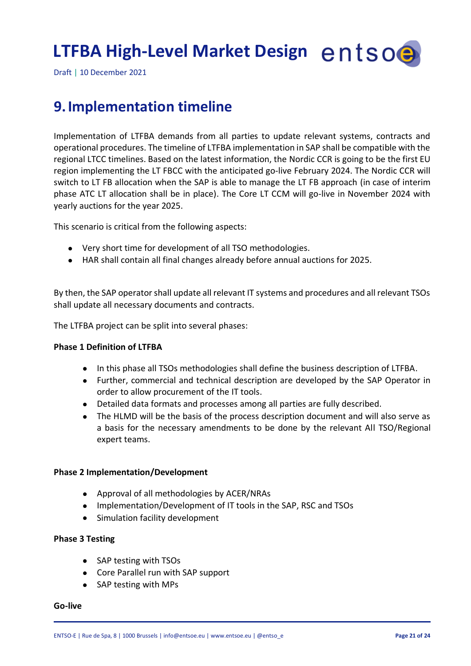Draft | 10 December 2021

### <span id="page-20-0"></span>**9.Implementation timeline**

Implementation of LTFBA demands from all parties to update relevant systems, contracts and operational procedures. The timeline of LTFBA implementation in SAP shall be compatible with the regional LTCC timelines. Based on the latest information, the Nordic CCR is going to be the first EU region implementing the LT FBCC with the anticipated go-live February 2024. The Nordic CCR will switch to LT FB allocation when the SAP is able to manage the LT FB approach (in case of interim phase ATC LT allocation shall be in place). The Core LT CCM will go-live in November 2024 with yearly auctions for the year 2025.

This scenario is critical from the following aspects:

- Very short time for development of all TSO methodologies.
- HAR shall contain all final changes already before annual auctions for 2025.

By then, the SAP operator shall update all relevant IT systems and procedures and all relevant TSOs shall update all necessary documents and contracts.

The LTFBA project can be split into several phases:

#### **Phase 1 Definition of LTFBA**

- In this phase all TSOs methodologies shall define the business description of LTFBA.
- Further, commercial and technical description are developed by the SAP Operator in order to allow procurement of the IT tools.
- Detailed data formats and processes among all parties are fully described.
- The HLMD will be the basis of the process description document and will also serve as a basis for the necessary amendments to be done by the relevant All TSO/Regional expert teams.

#### **Phase 2 Implementation/Development**

- Approval of all methodologies by ACER/NRAs
- Implementation/Development of IT tools in the SAP, RSC and TSOs
- Simulation facility development

#### **Phase 3 Testing**

- SAP testing with TSOs
- Core Parallel run with SAP support
- SAP testing with MPs

#### **Go-live**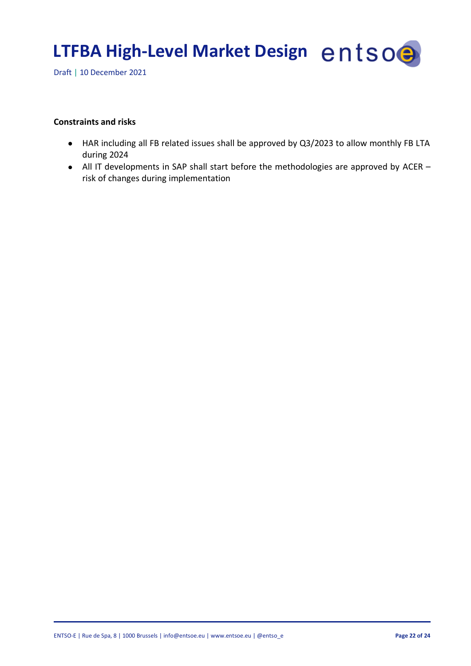Draft | 10 December 2021

#### **Constraints and risks**

- HAR including all FB related issues shall be approved by Q3/2023 to allow monthly FB LTA during 2024
- All IT developments in SAP shall start before the methodologies are approved by ACER risk of changes during implementation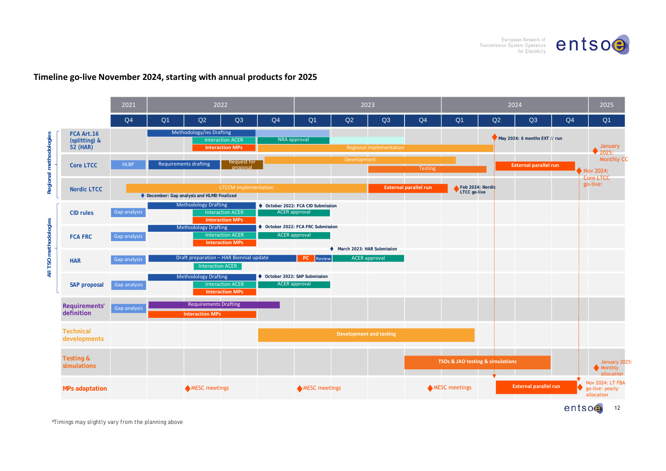

Nov 2024: Core LTCC go-live:

January 2025: Monthly CC



#### **Timeline go-live November 2024, starting with annual products for 2025**

Methodology/ies Drafting

**Te sting & TSOs & JAO testing & simulations** January 2025: **simulations Monthly** allocation Nov 2024: LT FBA **External parallel run** MESC meetings MESC meetings MESC meetings **MPs adaptation** go-live: yearly allocation entsoe 12

2021 2022 2023 2024 2025 Q4 | Q1 | Q2 | Q3 | Q4 | Q1 | Q2 | Q3 | Q4 | Q1 | Q2 | Q3 | Q4 | Q1

*\*Timings may slightly vary from the planning above*

**FCA Art.16**